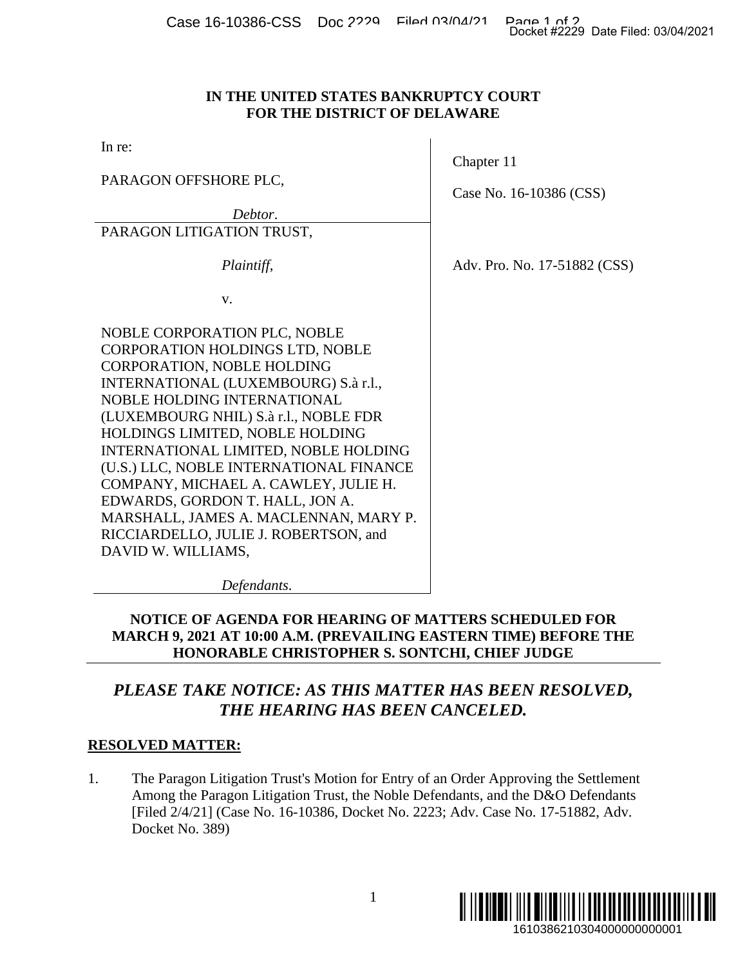Case 16-10386-CSS Doc 2229 Filed 03/04/21 Page 1 of 2<br>Docket #2229 Date Filed: 03/04/2021

# **IN THE UNITED STATES BANKRUPTCY COURT FOR THE DISTRICT OF DELAWARE**

In re:

PARAGON OFFSHORE PLC,

*Debtor*.

PARAGON LITIGATION TRUST,

 *Plaintiff*,

v.

NOBLE CORPORATION PLC, NOBLE CORPORATION HOLDINGS LTD, NOBLE CORPORATION, NOBLE HOLDING INTERNATIONAL (LUXEMBOURG) S.à r.l., NOBLE HOLDING INTERNATIONAL (LUXEMBOURG NHIL) S.à r.l., NOBLE FDR HOLDINGS LIMITED, NOBLE HOLDING INTERNATIONAL LIMITED, NOBLE HOLDING (U.S.) LLC, NOBLE INTERNATIONAL FINANCE COMPANY, MICHAEL A. CAWLEY, JULIE H. EDWARDS, GORDON T. HALL, JON A. MARSHALL, JAMES A. MACLENNAN, MARY P. RICCIARDELLO, JULIE J. ROBERTSON, and DAVID W. WILLIAMS,

*Defendants*.

# **NOTICE OF AGENDA FOR HEARING OF MATTERS SCHEDULED FOR MARCH 9, 2021 AT 10:00 A.M. (PREVAILING EASTERN TIME) BEFORE THE HONORABLE CHRISTOPHER S. SONTCHI, CHIEF JUDGE**

# *PLEASE TAKE NOTICE: AS THIS MATTER HAS BEEN RESOLVED, THE HEARING HAS BEEN CANCELED.*

# **RESOLVED MATTER:**

1. The Paragon Litigation Trust's Motion for Entry of an Order Approving the Settlement Among the Paragon Litigation Trust, the Noble Defendants, and the D&O Defendants [Filed 2/4/21] (Case No. 16-10386, Docket No. 2223; Adv. Case No. 17-51882, Adv. Docket No. 389)



Chapter 11

Case No. 16-10386 (CSS)

Adv. Pro. No. 17-51882 (CSS)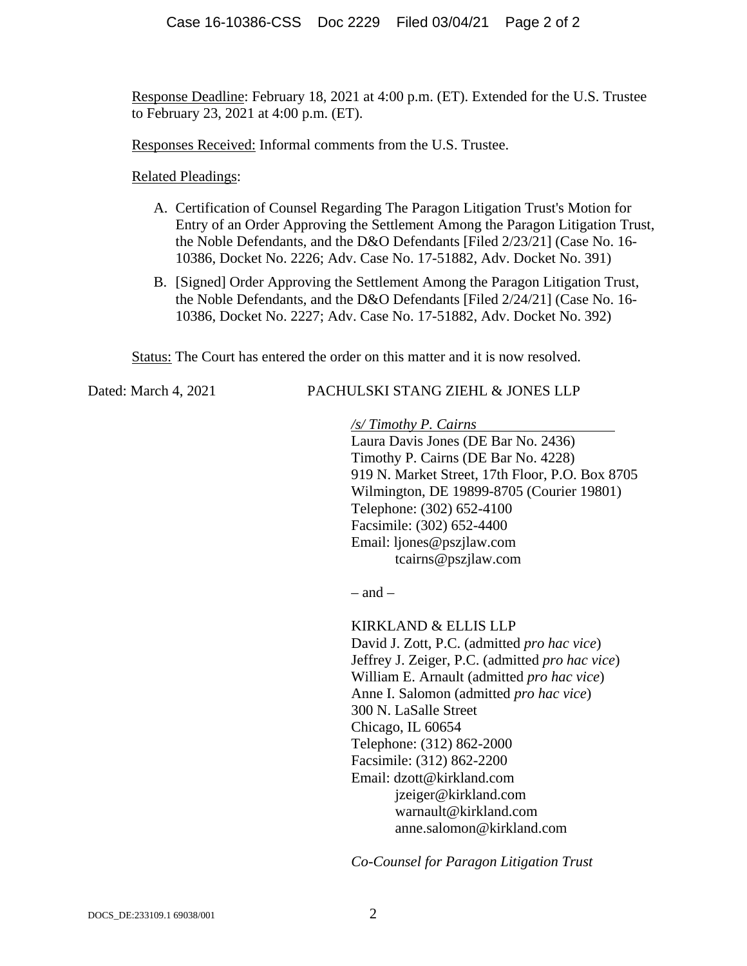Response Deadline: February 18, 2021 at 4:00 p.m. (ET). Extended for the U.S. Trustee to February 23, 2021 at 4:00 p.m. (ET).

Responses Received: Informal comments from the U.S. Trustee.

# Related Pleadings:

- A. Certification of Counsel Regarding The Paragon Litigation Trust's Motion for Entry of an Order Approving the Settlement Among the Paragon Litigation Trust, the Noble Defendants, and the D&O Defendants [Filed 2/23/21] (Case No. 16- 10386, Docket No. 2226; Adv. Case No. 17-51882, Adv. Docket No. 391)
- B. [Signed] Order Approving the Settlement Among the Paragon Litigation Trust, the Noble Defendants, and the D&O Defendants [Filed 2/24/21] (Case No. 16- 10386, Docket No. 2227; Adv. Case No. 17-51882, Adv. Docket No. 392)

Status: The Court has entered the order on this matter and it is now resolved.

# Dated: March 4, 2021 PACHULSKI STANG ZIEHL & JONES LLP

*/s/ Timothy P. Cairns* 

Laura Davis Jones (DE Bar No. 2436) Timothy P. Cairns (DE Bar No. 4228) 919 N. Market Street, 17th Floor, P.O. Box 8705 Wilmington, DE 19899-8705 (Courier 19801) Telephone: (302) 652-4100 Facsimile: (302) 652-4400 Email: ljones@pszjlaw.com tcairns@pszjlaw.com

 $-$  and  $-$ 

KIRKLAND & ELLIS LLP David J. Zott, P.C. (admitted *pro hac vice*) Jeffrey J. Zeiger, P.C. (admitted *pro hac vice*) William E. Arnault (admitted *pro hac vice*) Anne I. Salomon (admitted *pro hac vice*) 300 N. LaSalle Street Chicago, IL 60654 Telephone: (312) 862-2000 Facsimile: (312) 862-2200 Email: dzott@kirkland.com jzeiger@kirkland.com warnault@kirkland.com anne.salomon@kirkland.com

*Co-Counsel for Paragon Litigation Trust*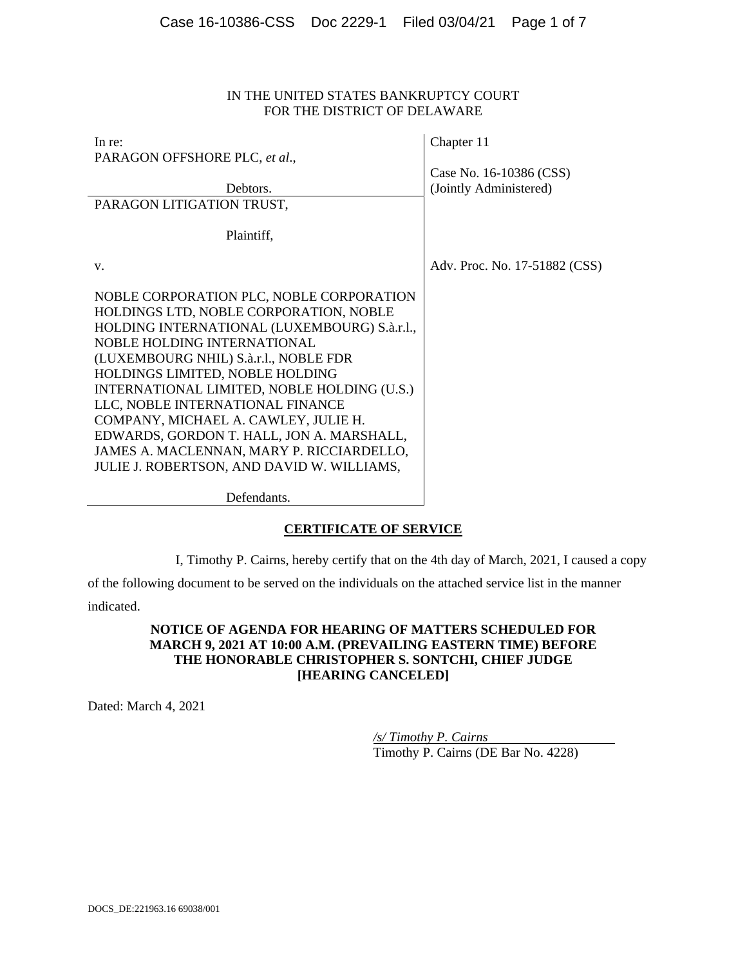#### IN THE UNITED STATES BANKRUPTCY COURT FOR THE DISTRICT OF DELAWARE

| In re:                                                                             | Chapter 11                    |
|------------------------------------------------------------------------------------|-------------------------------|
| PARAGON OFFSHORE PLC, et al.,                                                      |                               |
|                                                                                    | Case No. 16-10386 (CSS)       |
| Debtors.                                                                           | (Jointly Administered)        |
| PARAGON LITIGATION TRUST,                                                          |                               |
|                                                                                    |                               |
| Plaintiff,                                                                         |                               |
|                                                                                    |                               |
| $V_{\rm}$                                                                          | Adv. Proc. No. 17-51882 (CSS) |
| NOBLE CORPORATION PLC, NOBLE CORPORATION                                           |                               |
| HOLDINGS LTD, NOBLE CORPORATION, NOBLE                                             |                               |
| HOLDING INTERNATIONAL (LUXEMBOURG) S.à.r.l.,<br><b>NOBLE HOLDING INTERNATIONAL</b> |                               |
| (LUXEMBOURG NHIL) S.à.r.l., NOBLE FDR                                              |                               |
| HOLDINGS LIMITED, NOBLE HOLDING                                                    |                               |
| INTERNATIONAL LIMITED, NOBLE HOLDING (U.S.)                                        |                               |
| LLC, NOBLE INTERNATIONAL FINANCE                                                   |                               |
| COMPANY, MICHAEL A. CAWLEY, JULIE H.                                               |                               |
| EDWARDS, GORDON T. HALL, JON A. MARSHALL,                                          |                               |
| JAMES A. MACLENNAN, MARY P. RICCIARDELLO,                                          |                               |
| JULIE J. ROBERTSON, AND DAVID W. WILLIAMS,                                         |                               |
|                                                                                    |                               |
|                                                                                    |                               |

Defendants.

#### **CERTIFICATE OF SERVICE**

I, Timothy P. Cairns, hereby certify that on the 4th day of March, 2021, I caused a copy

of the following document to be served on the individuals on the attached service list in the manner

indicated.

#### **NOTICE OF AGENDA FOR HEARING OF MATTERS SCHEDULED FOR MARCH 9, 2021 AT 10:00 A.M. (PREVAILING EASTERN TIME) BEFORE THE HONORABLE CHRISTOPHER S. SONTCHI, CHIEF JUDGE [HEARING CANCELED]**

Dated: March 4, 2021

*/s/ Timothy P. Cairns*  Timothy P. Cairns (DE Bar No. 4228)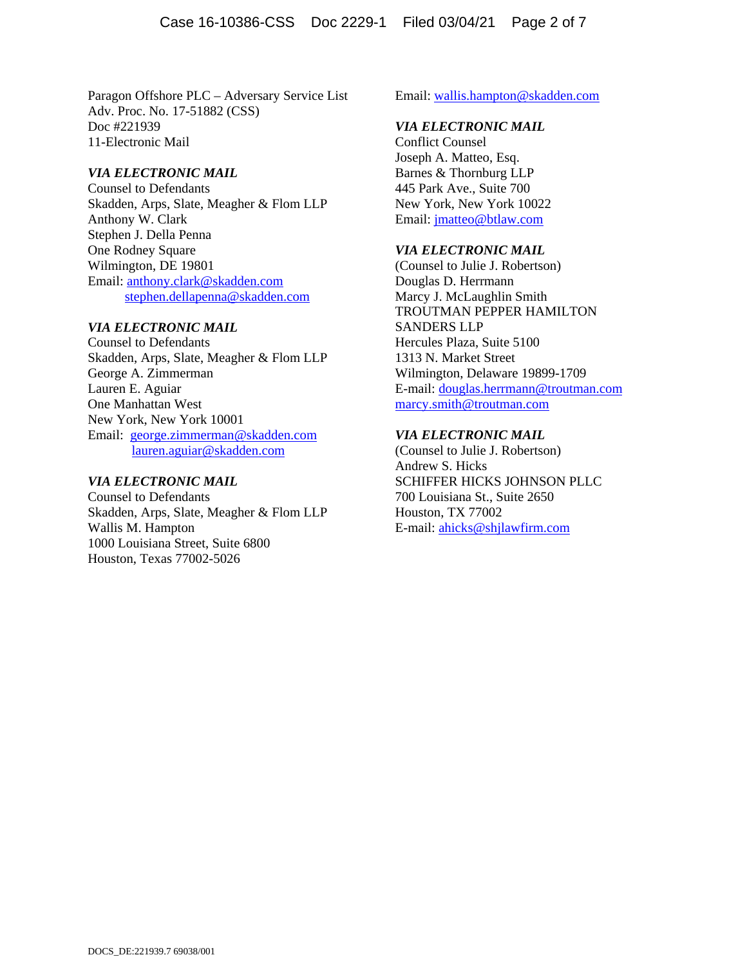Paragon Offshore PLC – Adversary Service List Adv. Proc. No. 17-51882 (CSS) Doc #221939 11-Electronic Mail

#### *VIA ELECTRONIC MAIL*

Counsel to Defendants Skadden, Arps, Slate, Meagher & Flom LLP Anthony W. Clark Stephen J. Della Penna One Rodney Square Wilmington, DE 19801 Email: anthony.clark@skadden.com stephen.dellapenna@skadden.com

#### *VIA ELECTRONIC MAIL*

Counsel to Defendants Skadden, Arps, Slate, Meagher & Flom LLP George A. Zimmerman Lauren E. Aguiar One Manhattan West New York, New York 10001 Email: george.zimmerman@skadden.com lauren.aguiar@skadden.com

#### *VIA ELECTRONIC MAIL*

Counsel to Defendants Skadden, Arps, Slate, Meagher & Flom LLP Wallis M. Hampton 1000 Louisiana Street, Suite 6800 Houston, Texas 77002-5026

Email: wallis.hampton@skadden.com

#### *VIA ELECTRONIC MAIL*

Conflict Counsel Joseph A. Matteo, Esq. Barnes & Thornburg LLP 445 Park Ave., Suite 700 New York, New York 10022 Email: jmatteo@btlaw.com

#### *VIA ELECTRONIC MAIL*

(Counsel to Julie J. Robertson) Douglas D. Herrmann Marcy J. McLaughlin Smith TROUTMAN PEPPER HAMILTON SANDERS LLP Hercules Plaza, Suite 5100 1313 N. Market Street Wilmington, Delaware 19899-1709 E-mail: douglas.herrmann@troutman.com marcy.smith@troutman.com

#### *VIA ELECTRONIC MAIL*

(Counsel to Julie J. Robertson) Andrew S. Hicks SCHIFFER HICKS JOHNSON PLLC 700 Louisiana St., Suite 2650 Houston, TX 77002 E-mail: ahicks@shjlawfirm.com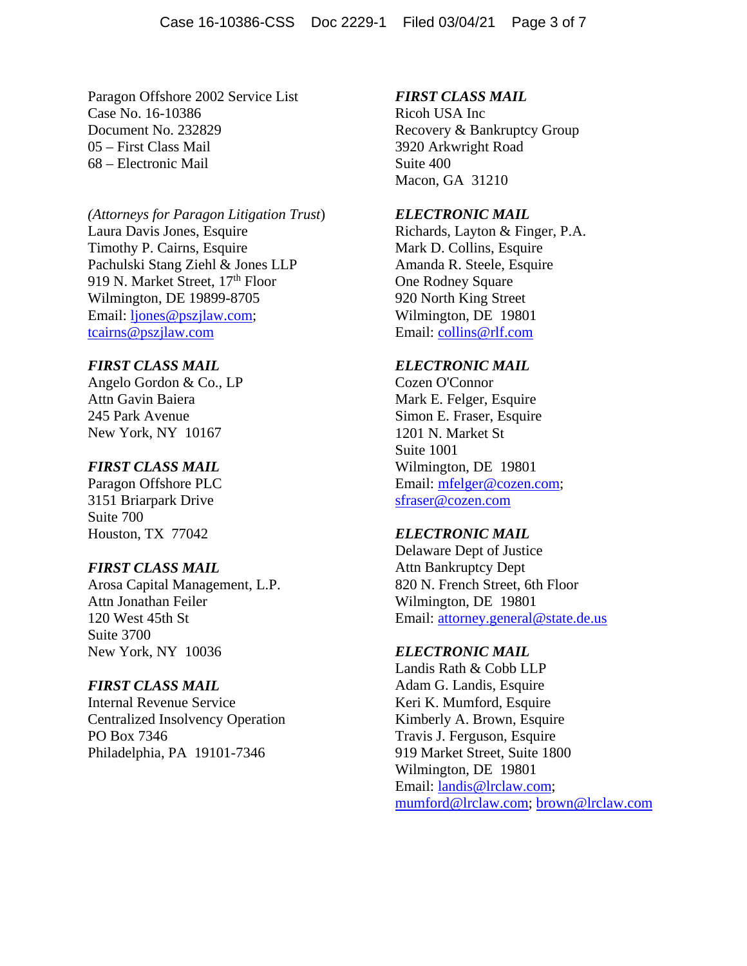Paragon Offshore 2002 Service List Case No. 16-10386 Document No. 232829 05 – First Class Mail 68 – Electronic Mail

# *(Attorneys for Paragon Litigation Trust*) Laura Davis Jones, Esquire Timothy P. Cairns, Esquire Pachulski Stang Ziehl & Jones LLP 919 N. Market Street, 17<sup>th</sup> Floor Wilmington, DE 19899-8705 Email: ljones@pszjlaw.com; tcairns@pszjlaw.com

# *FIRST CLASS MAIL*

Angelo Gordon & Co., LP Attn Gavin Baiera 245 Park Avenue New York, NY 10167

#### *FIRST CLASS MAIL*

Paragon Offshore PLC 3151 Briarpark Drive Suite 700 Houston, TX 77042

#### *FIRST CLASS MAIL*

Arosa Capital Management, L.P. Attn Jonathan Feiler 120 West 45th St Suite 3700 New York, NY 10036

# *FIRST CLASS MAIL*

Internal Revenue Service Centralized Insolvency Operation PO Box 7346 Philadelphia, PA 19101-7346

### *FIRST CLASS MAIL*

Ricoh USA Inc Recovery & Bankruptcy Group 3920 Arkwright Road Suite 400 Macon, GA 31210

#### *ELECTRONIC MAIL*

Richards, Layton & Finger, P.A. Mark D. Collins, Esquire Amanda R. Steele, Esquire One Rodney Square 920 North King Street Wilmington, DE 19801 Email: collins@rlf.com

#### *ELECTRONIC MAIL*

Cozen O'Connor Mark E. Felger, Esquire Simon E. Fraser, Esquire 1201 N. Market St Suite 1001 Wilmington, DE 19801 Email: mfelger@cozen.com; sfraser@cozen.com

#### *ELECTRONIC MAIL*

Delaware Dept of Justice Attn Bankruptcy Dept 820 N. French Street, 6th Floor Wilmington, DE 19801 Email: attorney.general@state.de.us

#### *ELECTRONIC MAIL*

Landis Rath & Cobb LLP Adam G. Landis, Esquire Keri K. Mumford, Esquire Kimberly A. Brown, Esquire Travis J. Ferguson, Esquire 919 Market Street, Suite 1800 Wilmington, DE 19801 Email: landis@lrclaw.com; mumford@lrclaw.com; brown@lrclaw.com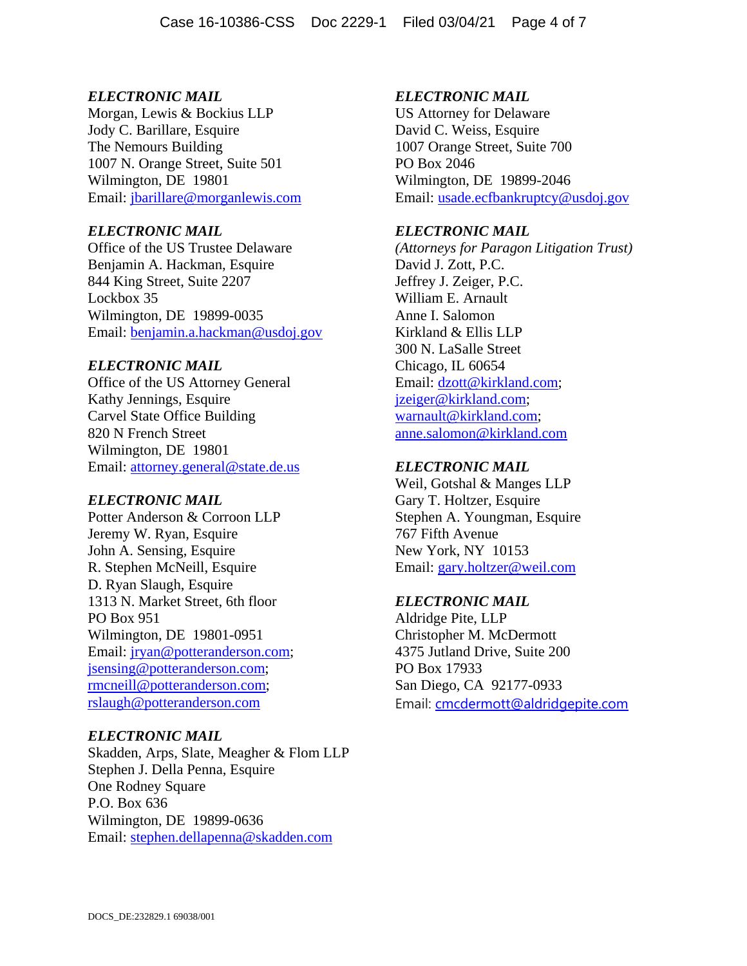Morgan, Lewis & Bockius LLP Jody C. Barillare, Esquire The Nemours Building 1007 N. Orange Street, Suite 501 Wilmington, DE 19801 Email: jbarillare@morganlewis.com

# *ELECTRONIC MAIL*

Office of the US Trustee Delaware Benjamin A. Hackman, Esquire 844 King Street, Suite 2207 Lockbox 35 Wilmington, DE 19899-0035 Email: benjamin.a.hackman@usdoj.gov

# *ELECTRONIC MAIL*

Office of the US Attorney General Kathy Jennings, Esquire Carvel State Office Building 820 N French Street Wilmington, DE 19801 Email: attorney.general@state.de.us

#### *ELECTRONIC MAIL*

Potter Anderson & Corroon LLP Jeremy W. Ryan, Esquire John A. Sensing, Esquire R. Stephen McNeill, Esquire D. Ryan Slaugh, Esquire 1313 N. Market Street, 6th floor PO Box 951 Wilmington, DE 19801-0951 Email: jryan@potteranderson.com; jsensing@potteranderson.com; rmcneill@potteranderson.com; rslaugh@potteranderson.com

#### *ELECTRONIC MAIL*

Skadden, Arps, Slate, Meagher & Flom LLP Stephen J. Della Penna, Esquire One Rodney Square P.O. Box 636 Wilmington, DE 19899-0636 Email: stephen.dellapenna@skadden.com

# *ELECTRONIC MAIL*

US Attorney for Delaware David C. Weiss, Esquire 1007 Orange Street, Suite 700 PO Box 2046 Wilmington, DE 19899-2046 Email: usade.ecfbankruptcy@usdoj.gov

#### *ELECTRONIC MAIL*

*(Attorneys for Paragon Litigation Trust)*  David J. Zott, P.C. Jeffrey J. Zeiger, P.C. William E. Arnault Anne I. Salomon Kirkland & Ellis LLP 300 N. LaSalle Street Chicago, IL 60654 Email: dzott@kirkland.com; jzeiger@kirkland.com; warnault@kirkland.com; anne.salomon@kirkland.com

# *ELECTRONIC MAIL*

Weil, Gotshal & Manges LLP Gary T. Holtzer, Esquire Stephen A. Youngman, Esquire 767 Fifth Avenue New York, NY 10153 Email: gary.holtzer@weil.com

#### *ELECTRONIC MAIL*

Aldridge Pite, LLP Christopher M. McDermott 4375 Jutland Drive, Suite 200 PO Box 17933 San Diego, CA 92177-0933 Email: cmcdermott@aldridgepite.com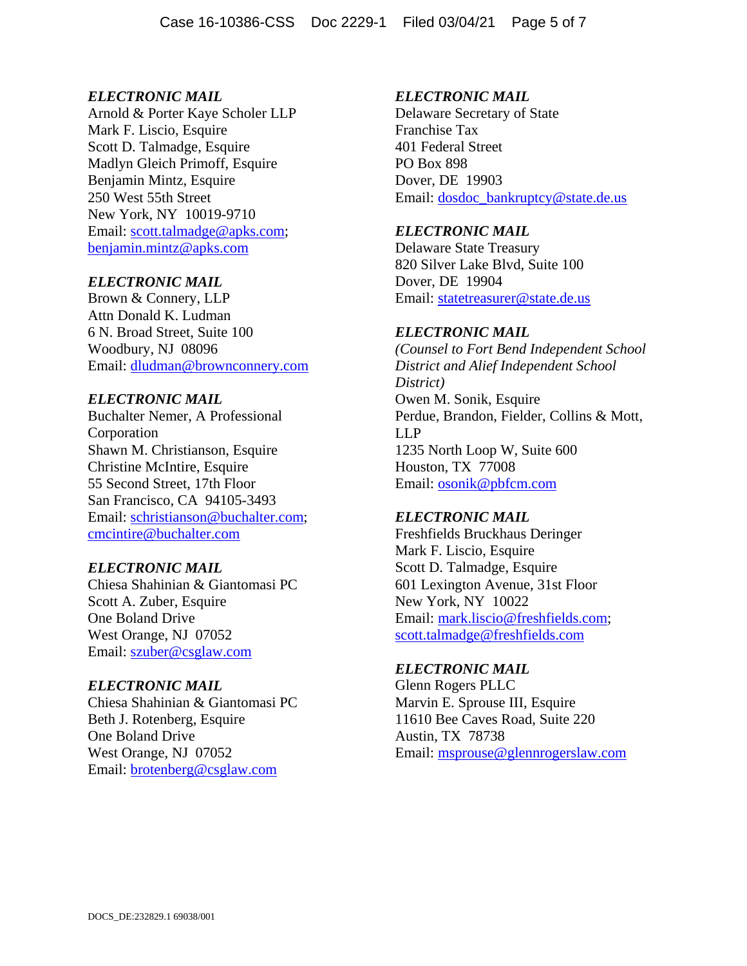Arnold & Porter Kaye Scholer LLP Mark F. Liscio, Esquire Scott D. Talmadge, Esquire Madlyn Gleich Primoff, Esquire Benjamin Mintz, Esquire 250 West 55th Street New York, NY 10019-9710 Email: scott.talmadge@apks.com; benjamin.mintz@apks.com

# *ELECTRONIC MAIL*

Brown & Connery, LLP Attn Donald K. Ludman 6 N. Broad Street, Suite 100 Woodbury, NJ 08096 Email: dludman@brownconnery.com

# *ELECTRONIC MAIL*

Buchalter Nemer, A Professional Corporation Shawn M. Christianson, Esquire Christine McIntire, Esquire 55 Second Street, 17th Floor San Francisco, CA 94105-3493 Email: schristianson@buchalter.com; cmcintire@buchalter.com

#### *ELECTRONIC MAIL*

Chiesa Shahinian & Giantomasi PC Scott A. Zuber, Esquire One Boland Drive West Orange, NJ 07052 Email: szuber@csglaw.com

### *ELECTRONIC MAIL*

Chiesa Shahinian & Giantomasi PC Beth J. Rotenberg, Esquire One Boland Drive West Orange, NJ 07052 Email: brotenberg@csglaw.com

# *ELECTRONIC MAIL*

Delaware Secretary of State Franchise Tax 401 Federal Street PO Box 898 Dover, DE 19903 Email: dosdoc\_bankruptcy@state.de.us

# *ELECTRONIC MAIL*

Delaware State Treasury 820 Silver Lake Blvd, Suite 100 Dover, DE 19904 Email: statetreasurer@state.de.us

# *ELECTRONIC MAIL*

*(Counsel to Fort Bend Independent School District and Alief Independent School District)*  Owen M. Sonik, Esquire Perdue, Brandon, Fielder, Collins & Mott, LLP 1235 North Loop W, Suite 600 Houston, TX 77008 Email: osonik@pbfcm.com

# *ELECTRONIC MAIL*

Freshfields Bruckhaus Deringer Mark F. Liscio, Esquire Scott D. Talmadge, Esquire 601 Lexington Avenue, 31st Floor New York, NY 10022 Email: mark.liscio@freshfields.com; scott.talmadge@freshfields.com

#### *ELECTRONIC MAIL*

Glenn Rogers PLLC Marvin E. Sprouse III, Esquire 11610 Bee Caves Road, Suite 220 Austin, TX 78738 Email: msprouse@glennrogerslaw.com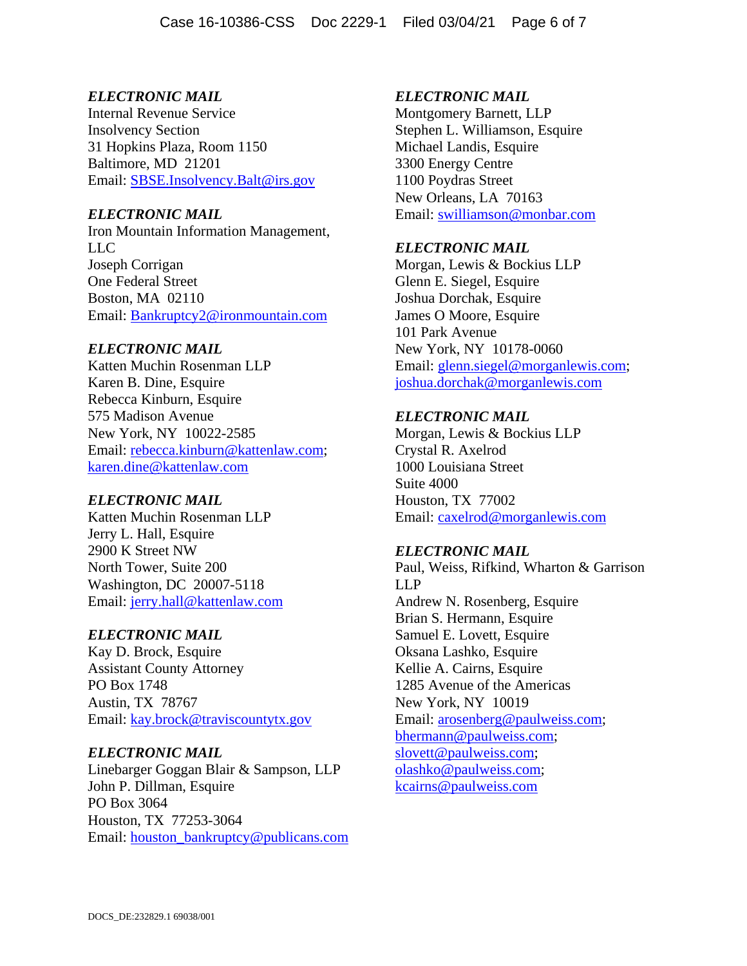Internal Revenue Service Insolvency Section 31 Hopkins Plaza, Room 1150 Baltimore, MD 21201 Email: SBSE.Insolvency.Balt@irs.gov

# *ELECTRONIC MAIL*

Iron Mountain Information Management, LLC Joseph Corrigan One Federal Street Boston, MA 02110 Email: Bankruptcy2@ironmountain.com

# *ELECTRONIC MAIL*

Katten Muchin Rosenman LLP Karen B. Dine, Esquire Rebecca Kinburn, Esquire 575 Madison Avenue New York, NY 10022-2585 Email: rebecca.kinburn@kattenlaw.com; karen.dine@kattenlaw.com

# *ELECTRONIC MAIL*

Katten Muchin Rosenman LLP Jerry L. Hall, Esquire 2900 K Street NW North Tower, Suite 200 Washington, DC 20007-5118 Email: jerry.hall@kattenlaw.com

#### *ELECTRONIC MAIL*

Kay D. Brock, Esquire Assistant County Attorney PO Box 1748 Austin, TX 78767 Email: kay.brock@traviscountytx.gov

# *ELECTRONIC MAIL*

Linebarger Goggan Blair & Sampson, LLP John P. Dillman, Esquire PO Box 3064 Houston, TX 77253-3064 Email: houston\_bankruptcy@publicans.com

# *ELECTRONIC MAIL*

Montgomery Barnett, LLP Stephen L. Williamson, Esquire Michael Landis, Esquire 3300 Energy Centre 1100 Poydras Street New Orleans, LA 70163 Email: swilliamson@monbar.com

# *ELECTRONIC MAIL*

Morgan, Lewis & Bockius LLP Glenn E. Siegel, Esquire Joshua Dorchak, Esquire James O Moore, Esquire 101 Park Avenue New York, NY 10178-0060 Email: glenn.siegel@morganlewis.com; joshua.dorchak@morganlewis.com

# *ELECTRONIC MAIL*

Morgan, Lewis & Bockius LLP Crystal R. Axelrod 1000 Louisiana Street Suite 4000 Houston, TX 77002 Email: caxelrod@morganlewis.com

#### *ELECTRONIC MAIL*

Paul, Weiss, Rifkind, Wharton & Garrison LLP Andrew N. Rosenberg, Esquire Brian S. Hermann, Esquire Samuel E. Lovett, Esquire Oksana Lashko, Esquire Kellie A. Cairns, Esquire 1285 Avenue of the Americas New York, NY 10019 Email: arosenberg@paulweiss.com; bhermann@paulweiss.com; slovett@paulweiss.com; olashko@paulweiss.com; kcairns@paulweiss.com